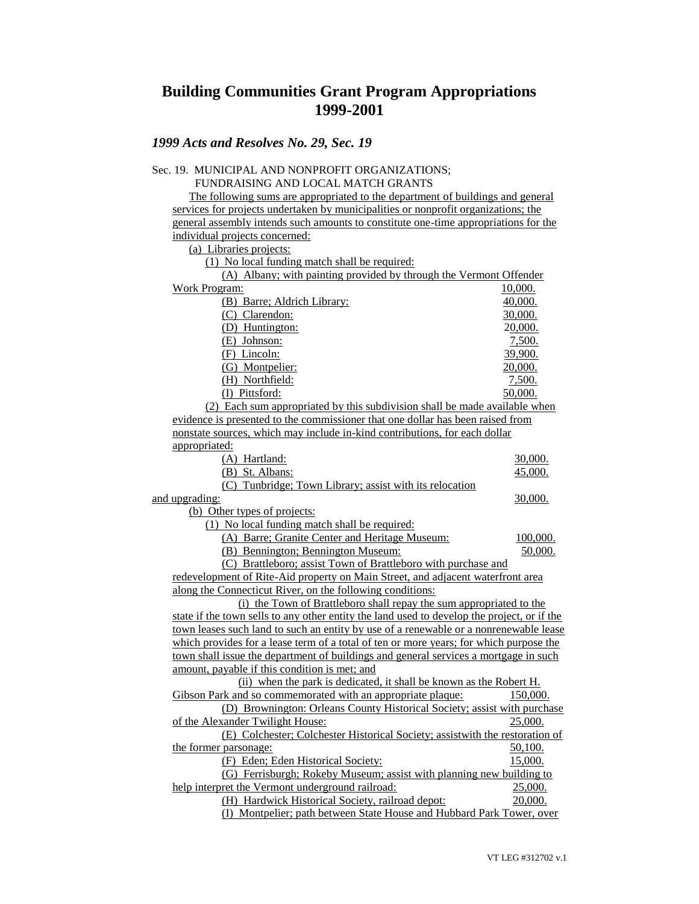# **Building Communities Grant Program Appropriations 1999-2001**

### *1999 Acts and Resolves No. 29, Sec. 19*

#### Sec. 19. MUNICIPAL AND NONPROFIT ORGANIZATIONS; FUNDRAISING AND LOCAL MATCH GRANTS The following sums are appropriated to the department of buildings and general services for projects undertaken by municipalities or nonprofit organizations; the general assembly intends such amounts to constitute one-time appropriations for the individual projects concerned: (a) Libraries projects: (1) No local funding match shall be required: (A) Albany; with painting provided by through the Vermont Offender Work Program:  $10,000$ . (B) Barre; Aldrich Library: 40,000. (C) Clarendon: 30,000. (D) Huntington: 20,000. (E) Johnson: 7,500. (F) Lincoln: 39,900. (G) Montpelier: 20,000. (H) Northfield: 7,500. (I) Pittsford: 50,000. (2) Each sum appropriated by this subdivision shall be made available when evidence is presented to the commissioner that one dollar has been raised from nonstate sources, which may include in-kind contributions, for each dollar appropriated: (A) Hartland: 30,000. (B) St. Albans: 45,000. (C) Tunbridge; Town Library; assist with its relocation and upgrading:  $\qquad \qquad$  30,000. (b) Other types of projects: (1) No local funding match shall be required: (A) Barre; Granite Center and Heritage Museum: 100,000. (B) Bennington; Bennington Museum: 50,000. (C) Brattleboro; assist Town of Brattleboro with purchase and redevelopment of Rite-Aid property on Main Street, and adjacent waterfront area along the Connecticut River, on the following conditions: (i) the Town of Brattleboro shall repay the sum appropriated to the

state if the town sells to any other entity the land used to develop the project, or if the town leases such land to such an entity by use of a renewable or a nonrenewable lease which provides for a lease term of a total of ten or more years; for which purpose the town shall issue the department of buildings and general services a mortgage in such amount, payable if this condition is met; and (ii) when the park is dedicated, it shall be known as the Robert H. Gibson Park and so commemorated with an appropriate plaque: 150,000. (D) Brownington: Orleans County Historical Society; assist with purchase of the Alexander Twilight House: 25,000. (E) Colchester; Colchester Historical Society; assistwith the restoration of the former parsonage:  $\frac{50,100}{50,100}$ (F) Eden; Eden Historical Society: 15,000. (G) Ferrisburgh; Rokeby Museum; assist with planning new building to help interpret the Vermont underground railroad: 25,000.

(H) Hardwick Historical Society, railroad depot: 20,000. (I) Montpelier; path between State House and Hubbard Park Tower, over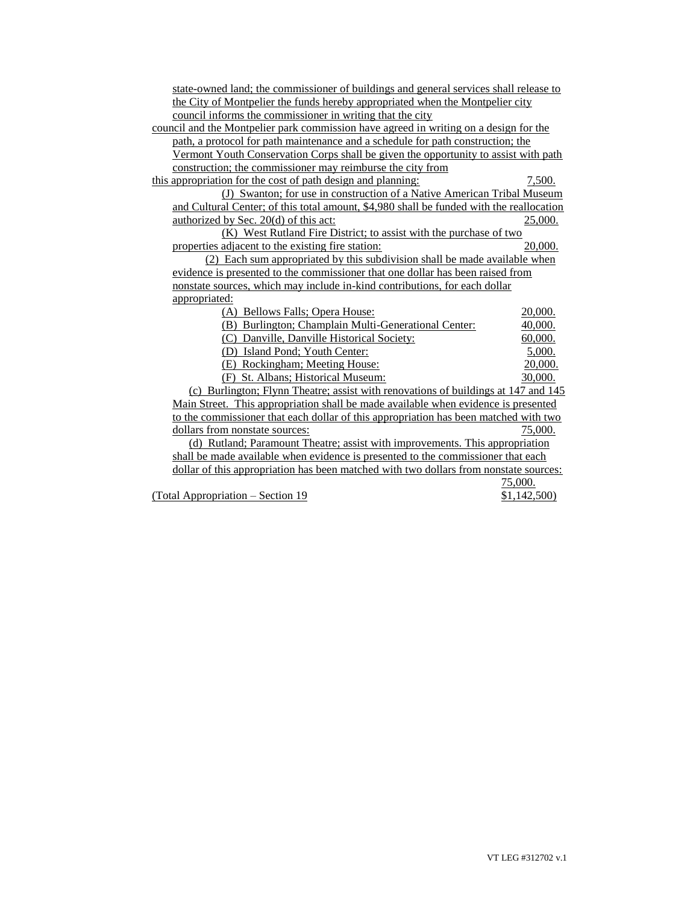| state-owned land; the commissioner of buildings and general services shall release to    |             |
|------------------------------------------------------------------------------------------|-------------|
| the City of Montpelier the funds hereby appropriated when the Montpelier city            |             |
| council informs the commissioner in writing that the city                                |             |
| council and the Montpelier park commission have agreed in writing on a design for the    |             |
| path, a protocol for path maintenance and a schedule for path construction; the          |             |
| Vermont Youth Conservation Corps shall be given the opportunity to assist with path      |             |
| construction; the commissioner may reimburse the city from                               |             |
| this appropriation for the cost of path design and planning:                             | 7,500.      |
| (J) Swanton; for use in construction of a Native American Tribal Museum                  |             |
| and Cultural Center; of this total amount, \$4,980 shall be funded with the reallocation |             |
| <u>authorized by Sec. 20(d)</u> of this act:                                             | 25,000.     |
| (K) West Rutland Fire District; to assist with the purchase of two                       |             |
| properties adjacent to the existing fire station:                                        | 20,000.     |
| (2) Each sum appropriated by this subdivision shall be made available when               |             |
| evidence is presented to the commissioner that one dollar has been raised from           |             |
| nonstate sources, which may include in-kind contributions, for each dollar               |             |
| appropriated:                                                                            |             |
| (A) Bellows Falls; Opera House:                                                          | 20,000.     |
| (B) Burlington; Champlain Multi-Generational Center:                                     | 40,000.     |
| (C) Danville, Danville Historical Society:                                               | 60,000.     |
| (D) Island Pond; Youth Center:                                                           | 5,000.      |
| (E) Rockingham; Meeting House:                                                           | 20,000.     |
| (F) St. Albans; Historical Museum:                                                       | 30,000.     |
| (c) Burlington; Flynn Theatre; assist with renovations of buildings at 147 and 145       |             |
| Main Street. This appropriation shall be made available when evidence is presented       |             |
| to the commissioner that each dollar of this appropriation has been matched with two     |             |
| dollars from nonstate sources:                                                           | 75,000.     |
| (d) Rutland; Paramount Theatre; assist with improvements. This appropriation             |             |
| shall be made available when evidence is presented to the commissioner that each         |             |
| dollar of this appropriation has been matched with two dollars from nonstate sources:    |             |
|                                                                                          | 75,000.     |
| (Total Appropriation – Section 19                                                        | \$1,142,500 |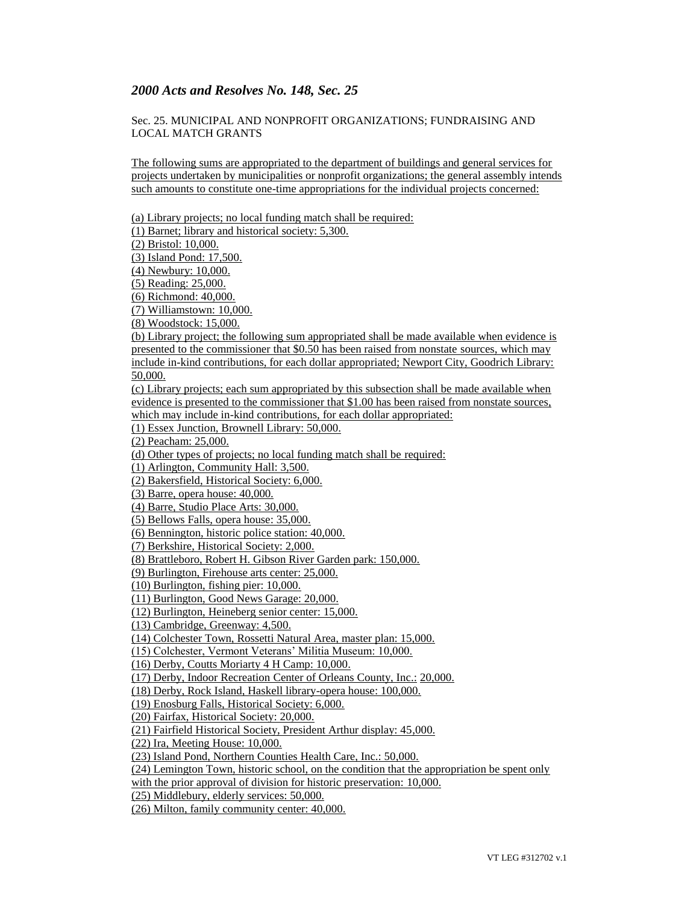### *2000 Acts and Resolves No. 148, Sec. 25*

#### Sec. 25. MUNICIPAL AND NONPROFIT ORGANIZATIONS; FUNDRAISING AND LOCAL MATCH GRANTS

The following sums are appropriated to the department of buildings and general services for projects undertaken by municipalities or nonprofit organizations; the general assembly intends such amounts to constitute one-time appropriations for the individual projects concerned:

(a) Library projects; no local funding match shall be required: (1) Barnet; library and historical society: 5,300. (2) Bristol: 10,000. (3) Island Pond: 17,500. (4) Newbury: 10,000. (5) Reading: 25,000. (6) Richmond: 40,000. (7) Williamstown: 10,000. (8) Woodstock: 15,000. (b) Library project; the following sum appropriated shall be made available when evidence is presented to the commissioner that \$0.50 has been raised from nonstate sources, which may include in-kind contributions, for each dollar appropriated; Newport City, Goodrich Library: 50,000. (c) Library projects; each sum appropriated by this subsection shall be made available when evidence is presented to the commissioner that \$1.00 has been raised from nonstate sources, which may include in-kind contributions, for each dollar appropriated: (1) Essex Junction, Brownell Library: 50,000. (2) Peacham: 25,000. (d) Other types of projects; no local funding match shall be required: (1) Arlington, Community Hall: 3,500. (2) Bakersfield, Historical Society: 6,000. (3) Barre, opera house: 40,000. (4) Barre, Studio Place Arts: 30,000. (5) Bellows Falls, opera house: 35,000. (6) Bennington, historic police station: 40,000. (7) Berkshire, Historical Society: 2,000. (8) Brattleboro, Robert H. Gibson River Garden park: 150,000. (9) Burlington, Firehouse arts center: 25,000. (10) Burlington, fishing pier: 10,000. (11) Burlington, Good News Garage: 20,000. (12) Burlington, Heineberg senior center: 15,000. (13) Cambridge, Greenway: 4,500. (14) Colchester Town, Rossetti Natural Area, master plan: 15,000. (15) Colchester, Vermont Veterans' Militia Museum: 10,000. (16) Derby, Coutts Moriarty 4 H Camp: 10,000. (17) Derby, Indoor Recreation Center of Orleans County, Inc.: 20,000. (18) Derby, Rock Island, Haskell library-opera house: 100,000. (19) Enosburg Falls, Historical Society: 6,000. (20) Fairfax, Historical Society: 20,000. (21) Fairfield Historical Society, President Arthur display: 45,000. (22) Ira, Meeting House: 10,000. (23) Island Pond, Northern Counties Health Care, Inc.: 50,000. (24) Lemington Town, historic school, on the condition that the appropriation be spent only with the prior approval of division for historic preservation: 10,000. (25) Middlebury, elderly services: 50,000. (26) Milton, family community center: 40,000.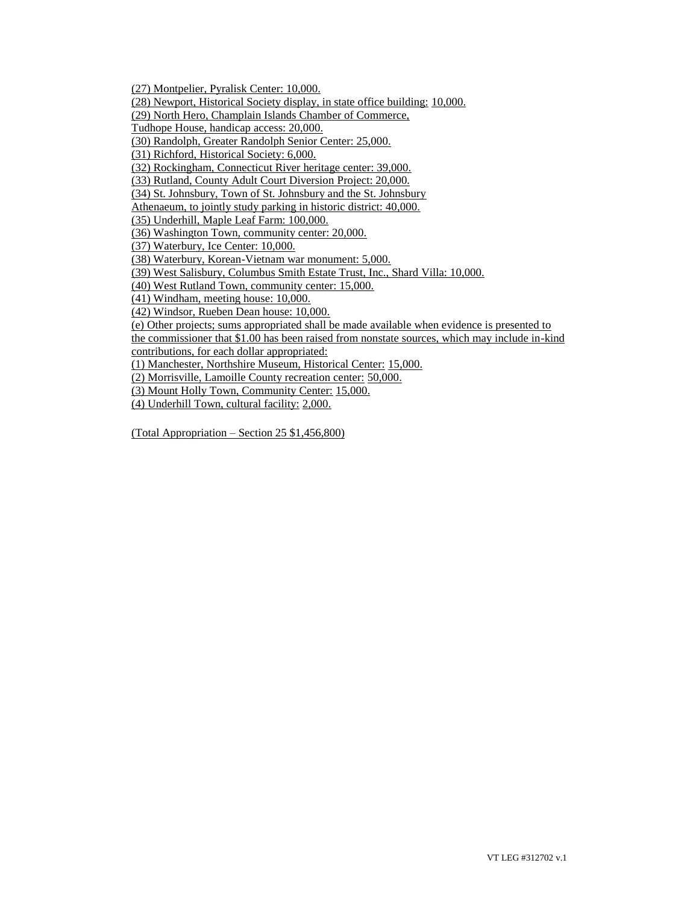(27) Montpelier, Pyralisk Center: 10,000. (28) Newport, Historical Society display, in state office building: 10,000. (29) North Hero, Champlain Islands Chamber of Commerce, Tudhope House, handicap access: 20,000. (30) Randolph, Greater Randolph Senior Center: 25,000. (31) Richford, Historical Society: 6,000. (32) Rockingham, Connecticut River heritage center: 39,000. (33) Rutland, County Adult Court Diversion Project: 20,000. (34) St. Johnsbury, Town of St. Johnsbury and the St. Johnsbury Athenaeum, to jointly study parking in historic district: 40,000. (35) Underhill, Maple Leaf Farm: 100,000. (36) Washington Town, community center: 20,000. (37) Waterbury, Ice Center: 10,000. (38) Waterbury, Korean-Vietnam war monument: 5,000. (39) West Salisbury, Columbus Smith Estate Trust, Inc., Shard Villa: 10,000. (40) West Rutland Town, community center: 15,000. (41) Windham, meeting house: 10,000. (42) Windsor, Rueben Dean house: 10,000. (e) Other projects; sums appropriated shall be made available when evidence is presented to the commissioner that \$1.00 has been raised from nonstate sources, which may include in-kind contributions, for each dollar appropriated: (1) Manchester, Northshire Museum, Historical Center: 15,000. (2) Morrisville, Lamoille County recreation center: 50,000. (3) Mount Holly Town, Community Center: 15,000.

(4) Underhill Town, cultural facility: 2,000.

(Total Appropriation – Section 25 \$1,456,800)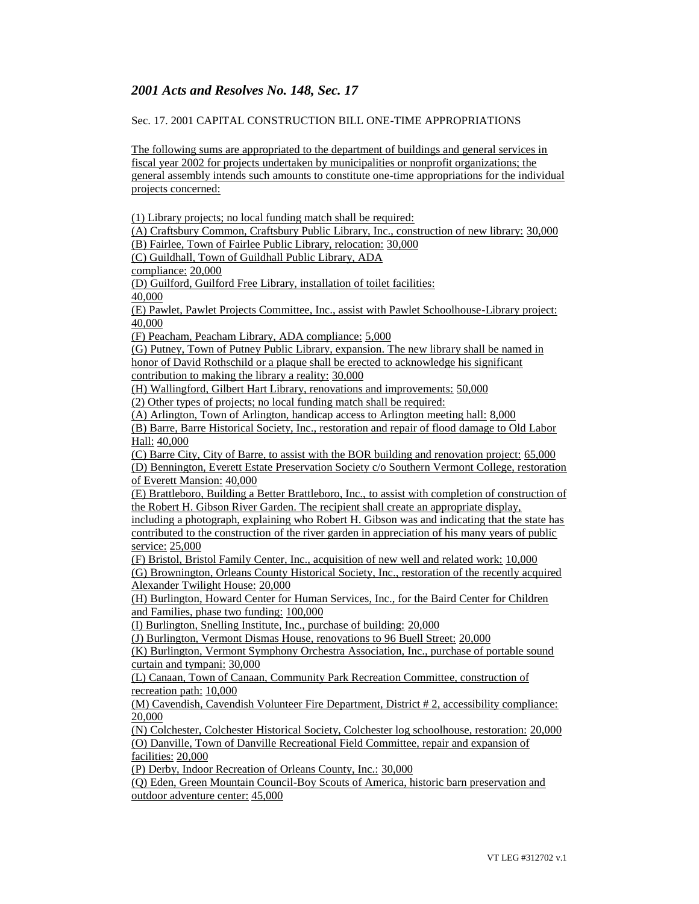## *2001 Acts and Resolves No. 148, Sec. 17*

#### Sec. 17. 2001 CAPITAL CONSTRUCTION BILL ONE-TIME APPROPRIATIONS

The following sums are appropriated to the department of buildings and general services in fiscal year 2002 for projects undertaken by municipalities or nonprofit organizations; the general assembly intends such amounts to constitute one-time appropriations for the individual projects concerned:

(1) Library projects; no local funding match shall be required:

(A) Craftsbury Common, Craftsbury Public Library, Inc., construction of new library: 30,000 (B) Fairlee, Town of Fairlee Public Library, relocation: 30,000

(C) Guildhall, Town of Guildhall Public Library, ADA

compliance: 20,000

(D) Guilford, Guilford Free Library, installation of toilet facilities:

40,000

(E) Pawlet, Pawlet Projects Committee, Inc., assist with Pawlet Schoolhouse-Library project: 40,000

(F) Peacham, Peacham Library, ADA compliance: 5,000

(G) Putney, Town of Putney Public Library, expansion. The new library shall be named in honor of David Rothschild or a plaque shall be erected to acknowledge his significant

contribution to making the library a reality: 30,000

(H) Wallingford, Gilbert Hart Library, renovations and improvements: 50,000 (2) Other types of projects; no local funding match shall be required:

(A) Arlington, Town of Arlington, handicap access to Arlington meeting hall: 8,000

(B) Barre, Barre Historical Society, Inc., restoration and repair of flood damage to Old Labor Hall: 40,000

(C) Barre City, City of Barre, to assist with the BOR building and renovation project: 65,000 (D) Bennington, Everett Estate Preservation Society c/o Southern Vermont College, restoration of Everett Mansion: 40,000

(E) Brattleboro, Building a Better Brattleboro, Inc., to assist with completion of construction of the Robert H. Gibson River Garden. The recipient shall create an appropriate display,

including a photograph, explaining who Robert H. Gibson was and indicating that the state has contributed to the construction of the river garden in appreciation of his many years of public service: 25,000

(F) Bristol, Bristol Family Center, Inc., acquisition of new well and related work: 10,000 (G) Brownington, Orleans County Historical Society, Inc., restoration of the recently acquired Alexander Twilight House: 20,000

(H) Burlington, Howard Center for Human Services, Inc., for the Baird Center for Children and Families, phase two funding: 100,000

(I) Burlington, Snelling Institute, Inc., purchase of building: 20,000

(J) Burlington, Vermont Dismas House, renovations to 96 Buell Street: 20,000

(K) Burlington, Vermont Symphony Orchestra Association, Inc., purchase of portable sound curtain and tympani: 30,000

(L) Canaan, Town of Canaan, Community Park Recreation Committee, construction of recreation path: 10,000

(M) Cavendish, Cavendish Volunteer Fire Department, District # 2, accessibility compliance: 20,000

(N) Colchester, Colchester Historical Society, Colchester log schoolhouse, restoration: 20,000 (O) Danville, Town of Danville Recreational Field Committee, repair and expansion of facilities: 20,000

(P) Derby, Indoor Recreation of Orleans County, Inc.: 30,000

(Q) Eden, Green Mountain Council-Boy Scouts of America, historic barn preservation and outdoor adventure center: 45,000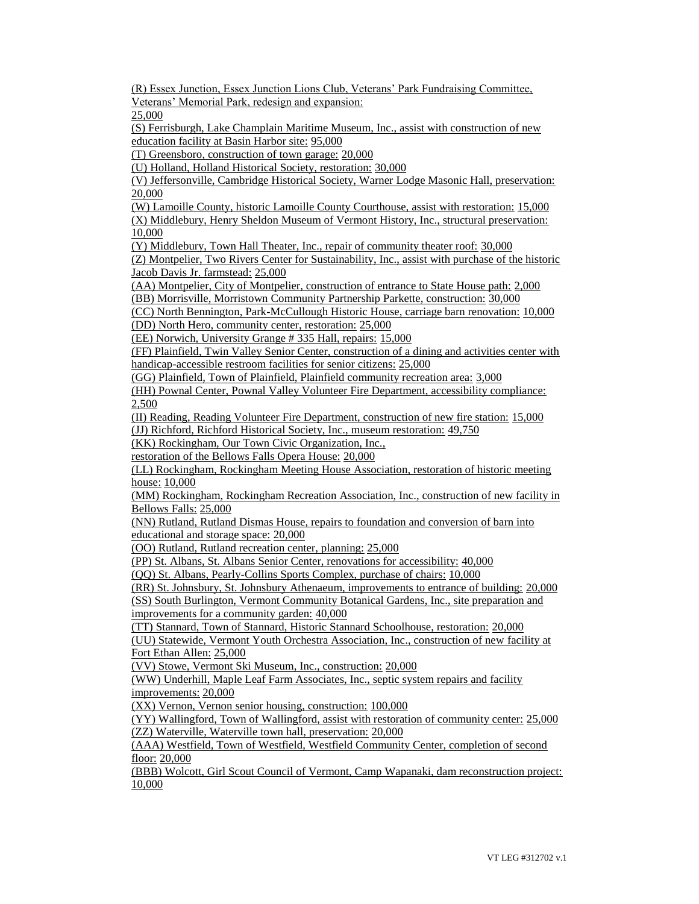(R) Essex Junction, Essex Junction Lions Club, Veterans' Park Fundraising Committee, Veterans' Memorial Park, redesign and expansion:

25,000

(S) Ferrisburgh, Lake Champlain Maritime Museum, Inc., assist with construction of new education facility at Basin Harbor site: 95,000

(T) Greensboro, construction of town garage: 20,000

(U) Holland, Holland Historical Society, restoration: 30,000

(V) Jeffersonville, Cambridge Historical Society, Warner Lodge Masonic Hall, preservation: 20,000

(W) Lamoille County, historic Lamoille County Courthouse, assist with restoration: 15,000 (X) Middlebury, Henry Sheldon Museum of Vermont History, Inc., structural preservation: 10,000

(Y) Middlebury, Town Hall Theater, Inc., repair of community theater roof: 30,000

(Z) Montpelier, Two Rivers Center for Sustainability, Inc., assist with purchase of the historic Jacob Davis Jr. farmstead: 25,000

(AA) Montpelier, City of Montpelier, construction of entrance to State House path: 2,000 (BB) Morrisville, Morristown Community Partnership Parkette, construction: 30,000

(CC) North Bennington, Park-McCullough Historic House, carriage barn renovation: 10,000 (DD) North Hero, community center, restoration: 25,000

(EE) Norwich, University Grange # 335 Hall, repairs: 15,000

(FF) Plainfield, Twin Valley Senior Center, construction of a dining and activities center with handicap-accessible restroom facilities for senior citizens: 25,000

(GG) Plainfield, Town of Plainfield, Plainfield community recreation area: 3,000

(HH) Pownal Center, Pownal Valley Volunteer Fire Department, accessibility compliance: 2,500

(II) Reading, Reading Volunteer Fire Department, construction of new fire station: 15,000

(JJ) Richford, Richford Historical Society, Inc., museum restoration: 49,750

(KK) Rockingham, Our Town Civic Organization, Inc.,

restoration of the Bellows Falls Opera House: 20,000

(LL) Rockingham, Rockingham Meeting House Association, restoration of historic meeting house: 10,000

(MM) Rockingham, Rockingham Recreation Association, Inc., construction of new facility in Bellows Falls: 25,000

(NN) Rutland, Rutland Dismas House, repairs to foundation and conversion of barn into educational and storage space: 20,000

(OO) Rutland, Rutland recreation center, planning: 25,000

(PP) St. Albans, St. Albans Senior Center, renovations for accessibility: 40,000

(QQ) St. Albans, Pearly-Collins Sports Complex, purchase of chairs: 10,000

(RR) St. Johnsbury, St. Johnsbury Athenaeum, improvements to entrance of building: 20,000 (SS) South Burlington, Vermont Community Botanical Gardens, Inc., site preparation and improvements for a community garden: 40,000

(TT) Stannard, Town of Stannard, Historic Stannard Schoolhouse, restoration: 20,000

(UU) Statewide, Vermont Youth Orchestra Association, Inc., construction of new facility at Fort Ethan Allen: 25,000

(VV) Stowe, Vermont Ski Museum, Inc., construction: 20,000

(WW) Underhill, Maple Leaf Farm Associates, Inc., septic system repairs and facility improvements: 20,000

(XX) Vernon, Vernon senior housing, construction: 100,000

(YY) Wallingford, Town of Wallingford, assist with restoration of community center: 25,000 (ZZ) Waterville, Waterville town hall, preservation: 20,000

(AAA) Westfield, Town of Westfield, Westfield Community Center, completion of second floor: 20,000

(BBB) Wolcott, Girl Scout Council of Vermont, Camp Wapanaki, dam reconstruction project: 10,000